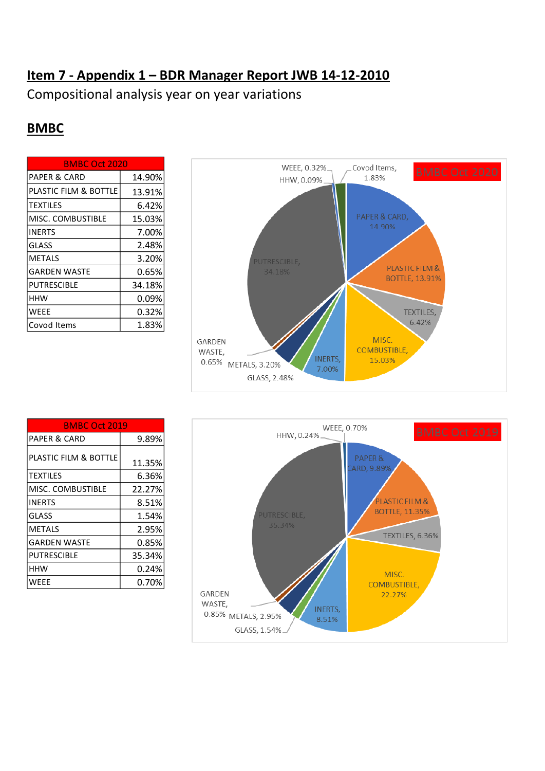## **Item 7 - Appendix 1 – BDR Manager Report JWB 14-12-2010**

Compositional analysis year on year variations

## **BMBC**

| <b>BMBC Oct 2020</b>    |        |
|-------------------------|--------|
| <b>PAPER &amp; CARD</b> | 14.90% |
| PLASTIC FILM & BOTTLE   | 13.91% |
| <b>TEXTILES</b>         | 6.42%  |
| MISC. COMBUSTIBLE       | 15.03% |
| <b>INERTS</b>           | 7.00%  |
| GLASS                   | 2.48%  |
| METALS                  | 3.20%  |
| <b>GARDEN WASTE</b>     | 0.65%  |
| PUTRESCIBLE             | 34.18% |
| <b>HHW</b>              | 0.09%  |
| WEEE                    | 0.32%  |
| Covod Items             | 1.83%  |



| <b>BMBC Oct 2019</b>    |        |
|-------------------------|--------|
| <b>PAPER &amp; CARD</b> | 9.89%  |
| PLASTIC FILM & BOTTLE   | 11.35% |
| <b>TEXTILES</b>         | 6.36%  |
| MISC. COMBUSTIBLE       | 22.27% |
| <b>INERTS</b>           | 8.51%  |
| <b>GLASS</b>            | 1.54%  |
| <b>METALS</b>           | 2.95%  |
| <b>GARDEN WASTE</b>     | 0.85%  |
| PUTRESCIBLE             | 35.34% |
| HHW                     | 0.24%  |
| WEEE                    | 0.70%  |

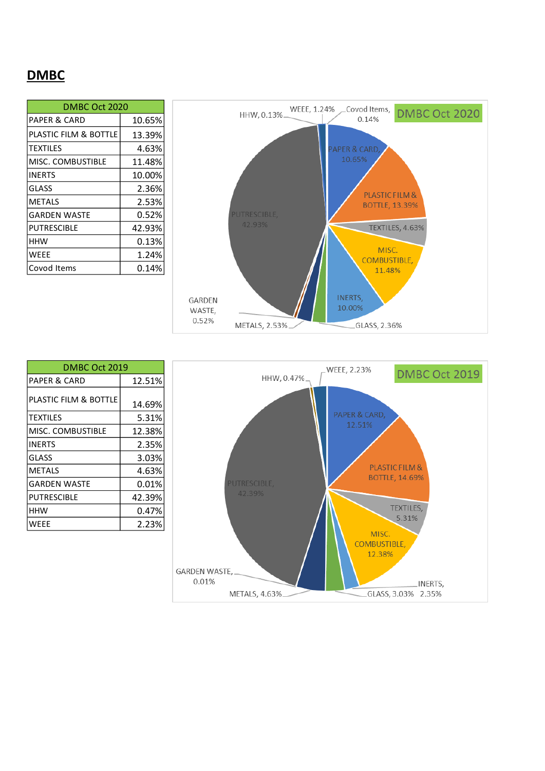## **DMBC**

| DMBC Oct 2020         |        |
|-----------------------|--------|
| PAPER & CARD          | 10.65% |
| PLASTIC FILM & BOTTLE | 13.39% |
| <b>TEXTILES</b>       | 4.63%  |
| MISC. COMBUSTIBLE     | 11.48% |
| <b>INERTS</b>         | 10.00% |
| <b>GLASS</b>          | 2.36%  |
| <b>METALS</b>         | 2.53%  |
| <b>GARDEN WASTE</b>   | 0.52%  |
| PUTRESCIBLE           | 42.93% |
| HHW                   | 0.13%  |
| WEEE                  | 1.24%  |
| Covod Items           | 0.14%  |



| DMBC Oct 2019           |          |  |
|-------------------------|----------|--|
| <b>PAPER &amp; CARD</b> | 12.51%   |  |
| PLASTIC FILM & BOTTLE   | 14.69%   |  |
| <b>TEXTILES</b>         | 5.31%    |  |
| MISC. COMBUSTIBLE       | 12.38%   |  |
| <b>INERTS</b>           | 2.35%    |  |
| <b>GLASS</b>            | 3.03%    |  |
| <b>METALS</b>           | 4.63%    |  |
| <b>GARDEN WASTE</b>     | $0.01\%$ |  |
| <b>PUTRESCIBLE</b>      | 42.39%   |  |
| HHW                     | 0.47%    |  |
| WFFF                    | 2.23%    |  |